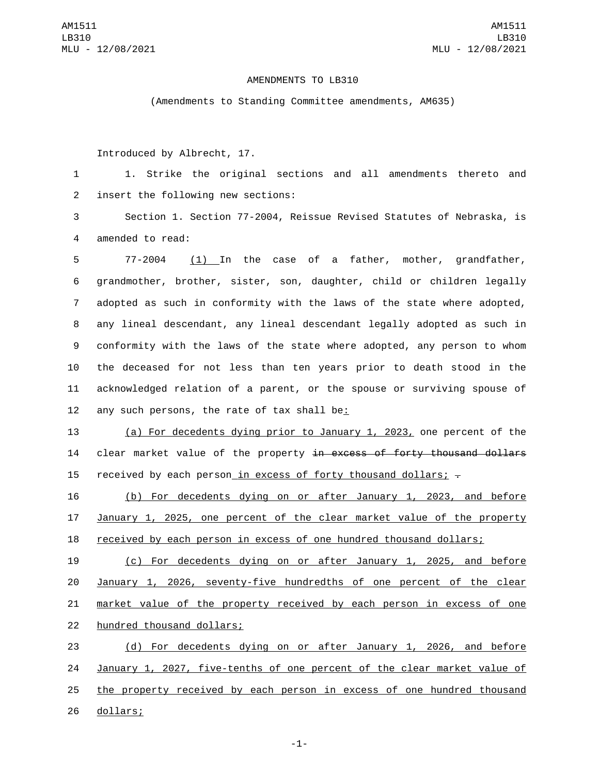## AMENDMENTS TO LB310

(Amendments to Standing Committee amendments, AM635)

Introduced by Albrecht, 17.

1 1. Strike the original sections and all amendments thereto and 2 insert the following new sections:

3 Section 1. Section 77-2004, Reissue Revised Statutes of Nebraska, is 4 amended to read:

 77-2004 (1) In the case of a father, mother, grandfather, grandmother, brother, sister, son, daughter, child or children legally adopted as such in conformity with the laws of the state where adopted, any lineal descendant, any lineal descendant legally adopted as such in conformity with the laws of the state where adopted, any person to whom the deceased for not less than ten years prior to death stood in the acknowledged relation of a parent, or the spouse or surviving spouse of 12 any such persons, the rate of tax shall be:

13 (a) For decedents dying prior to January 1, 2023, one percent of the 14 clear market value of the property in excess of forty thousand dollars 15 received by each person in excess of forty thousand dollars;  $\overline{z}$ 

16 (b) For decedents dying on or after January 1, 2023, and before 17 January 1, 2025, one percent of the clear market value of the property 18 received by each person in excess of one hundred thousand dollars;

 (c) For decedents dying on or after January 1, 2025, and before January 1, 2026, seventy-five hundredths of one percent of the clear market value of the property received by each person in excess of one 22 hundred thousand dollars;

 (d) For decedents dying on or after January 1, 2026, and before January 1, 2027, five-tenths of one percent of the clear market value of the property received by each person in excess of one hundred thousand 26 dollars;

-1-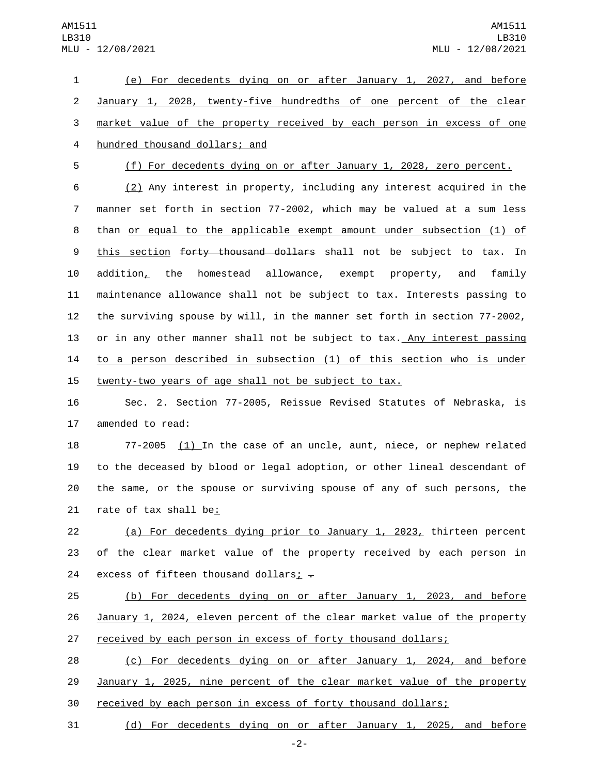(e) For decedents dying on or after January 1, 2027, and before January 1, 2028, twenty-five hundredths of one percent of the clear market value of the property received by each person in excess of one 4 hundred thousand dollars; and

 (f) For decedents dying on or after January 1, 2028, zero percent. (2) Any interest in property, including any interest acquired in the manner set forth in section 77-2002, which may be valued at a sum less than or equal to the applicable exempt amount under subsection (1) of 9 this section forty thousand dollars shall not be subject to tax. In addition, the homestead allowance, exempt property, and family maintenance allowance shall not be subject to tax. Interests passing to the surviving spouse by will, in the manner set forth in section 77-2002, 13 or in any other manner shall not be subject to tax. Any interest passing

14 to a person described in subsection (1) of this section who is under 15 twenty-two years of age shall not be subject to tax.

16 Sec. 2. Section 77-2005, Reissue Revised Statutes of Nebraska, is 17 amended to read:

18 77-2005 (1) In the case of an uncle, aunt, niece, or nephew related 19 to the deceased by blood or legal adoption, or other lineal descendant of 20 the same, or the spouse or surviving spouse of any of such persons, the 21 rate of tax shall be:

22 (a) For decedents dying prior to January 1, 2023, thirteen percent 23 of the clear market value of the property received by each person in 24 excess of fifteen thousand dollars;  $\overline{z}$ 

25 (b) For decedents dying on or after January 1, 2023, and before 26 January 1, 2024, eleven percent of the clear market value of the property 27 received by each person in excess of forty thousand dollars;

28 (c) For decedents dying on or after January 1, 2024, and before 29 January 1, 2025, nine percent of the clear market value of the property 30 received by each person in excess of forty thousand dollars;

31 (d) For decedents dying on or after January 1, 2025, and before

-2-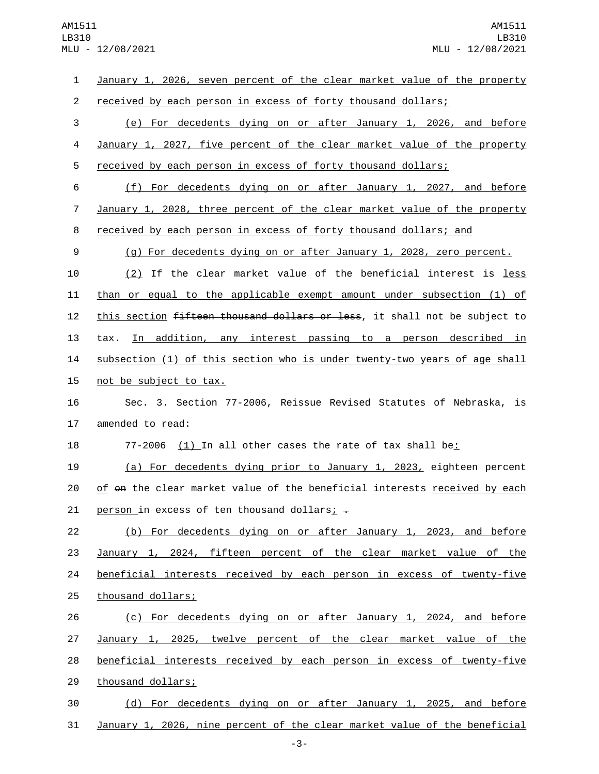| 1              | January 1, 2026, seven percent of the clear market value of the property   |
|----------------|----------------------------------------------------------------------------|
| $\overline{2}$ | received by each person in excess of forty thousand dollars;               |
| 3              | (e) For decedents dying on or after January 1, 2026, and before            |
| 4              | January 1, 2027, five percent of the clear market value of the property    |
| 5              | received by each person in excess of forty thousand dollars;               |
| 6              | (f) For decedents dying on or after January 1, 2027, and before            |
| $\overline{7}$ | January 1, 2028, three percent of the clear market value of the property   |
| 8              | received by each person in excess of forty thousand dollars; and           |
| 9              | (g) For decedents dying on or after January 1, 2028, zero percent.         |
| 10             | (2) If the clear market value of the beneficial interest is less           |
| 11             | than or equal to the applicable exempt amount under subsection (1) of      |
| 12             | this section fifteen thousand dollars or less, it shall not be subject to  |
| 13             | tax. In addition, any interest passing to a person described in            |
| 14             | subsection (1) of this section who is under twenty-two years of age shall  |
| 15             | not be subject to tax.                                                     |
| 16             | Sec. 3. Section 77-2006, Reissue Revised Statutes of Nebraska, is          |
| 17             | amended to read:                                                           |
| 18             | <u>(1)</u> In all other cases the rate of tax shall be <u>:</u><br>77-2006 |
| 19             | (a) For decedents dying prior to January 1, 2023, eighteen percent         |
| 20             | of on the clear market value of the beneficial interests received by each  |
| 21             | <u>person</u> in excess of ten thousand dollars; $\frac{1}{2}$             |
| 22             | (b) For decedents dying on or after January 1, 2023, and before            |
| 23             | January 1, 2024, fifteen percent of the clear market value of the          |
| 24             | beneficial interests received by each person in excess of twenty-five      |
| 25             | thousand dollars;                                                          |
| 26             | (c) For decedents dying on or after January 1, 2024, and before            |
| 27             | January 1, 2025, twelve percent of the clear market value of the           |
| 28             | beneficial interests received by each person in excess of twenty-five      |
| 29             | thousand dollars;                                                          |
| 30             | (d) For decedents dying on or after January 1, 2025, and before            |
| 31             | January 1, 2026, nine percent of the clear market value of the beneficial  |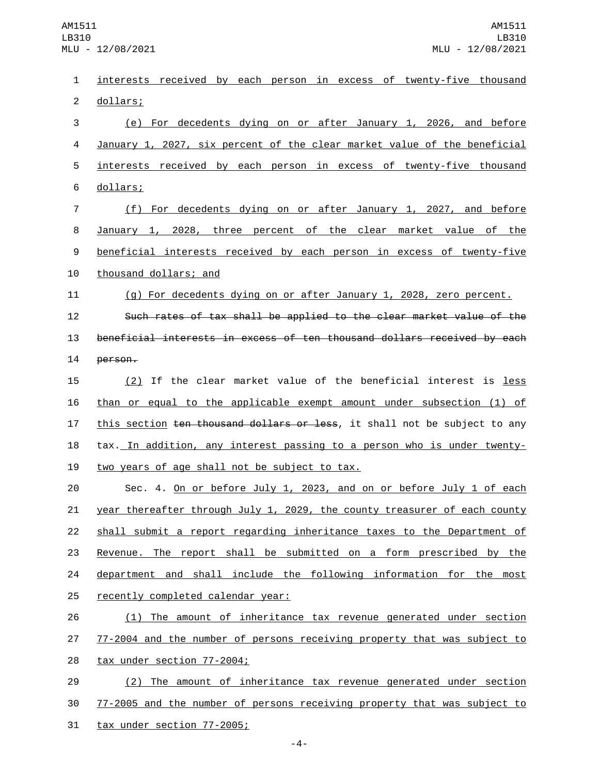interests received by each person in excess of twenty-five thousand 2 dollars; (e) For decedents dying on or after January 1, 2026, and before January 1, 2027, six percent of the clear market value of the beneficial interests received by each person in excess of twenty-five thousand 6 dollars; (f) For decedents dying on or after January 1, 2027, and before January 1, 2028, three percent of the clear market value of the beneficial interests received by each person in excess of twenty-five 10 thousand dollars; and (g) For decedents dying on or after January 1, 2028, zero percent. Such rates of tax shall be applied to the clear market value of the beneficial interests in excess of ten thousand dollars received by each 14 person. 15 (2) If the clear market value of the beneficial interest is <u>less</u> than or equal to the applicable exempt amount under subsection (1) of 17 this section ten thousand dollars or less, it shall not be subject to any tax. In addition, any interest passing to a person who is under twenty-19 two years of age shall not be subject to tax. Sec. 4. On or before July 1, 2023, and on or before July 1 of each 21 year thereafter through July 1, 2029, the county treasurer of each county shall submit a report regarding inheritance taxes to the Department of Revenue. The report shall be submitted on a form prescribed by the 24 department and shall include the following information for the most 25 recently completed calendar year: (1) The amount of inheritance tax revenue generated under section 77-2004 and the number of persons receiving property that was subject to 28 tax under section 77-2004; (2) The amount of inheritance tax revenue generated under section 77-2005 and the number of persons receiving property that was subject to

31 tax under section 77-2005;

-4-